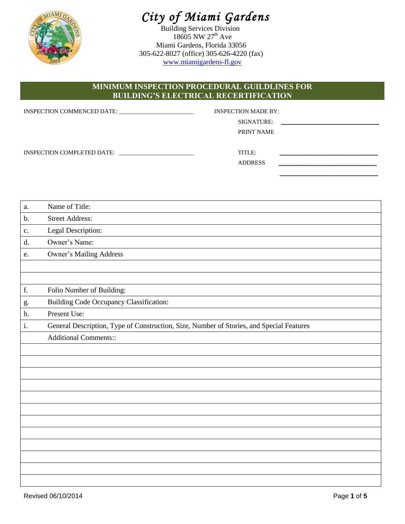

# *City of Miami Gardens*

Building Services Division 18605 NW 27<sup>th</sup> Ave Miami Gardens, Florida 33056 305-622-8027 (office) 305-626-4220 (fax) [www.miamigardens-fl.gov](http://www.miamigardens-fl.gov/)

## **MINIMUM INSPECTION PROCEDURAL GUILDLINES FOR BUILDING'S ELECTRICAL RECERTIFICATION**

|                            | <b>INSPECTION MADE BY:</b> |                                                                                                                      |
|----------------------------|----------------------------|----------------------------------------------------------------------------------------------------------------------|
|                            | SIGNATURE:                 | <u> 1980 - Johann Barbara, martin amerikan basar dan basa dan basar dan basa dan basa dan basa dan basa dan basa</u> |
|                            | PRINT NAME                 |                                                                                                                      |
| INSPECTION COMPLETED DATE: | TITLE:<br><b>ADDRESS</b>   |                                                                                                                      |
|                            |                            |                                                                                                                      |

| a. | Name of Title:                                                                           |
|----|------------------------------------------------------------------------------------------|
| b. | <b>Street Address:</b>                                                                   |
| c. | Legal Description:                                                                       |
| d. | Owner's Name:                                                                            |
| e. | <b>Owner's Mailing Address</b>                                                           |
|    |                                                                                          |
|    |                                                                                          |
| f. | Folio Number of Building:                                                                |
| g. | <b>Building Code Occupancy Classification:</b>                                           |
| h. | Present Use:                                                                             |
| i. | General Description, Type of Construction, Size, Number of Stories, and Special Features |
|    | <b>Additional Comments::</b>                                                             |
|    |                                                                                          |
|    |                                                                                          |
|    |                                                                                          |
|    |                                                                                          |
|    |                                                                                          |
|    |                                                                                          |
|    |                                                                                          |
|    |                                                                                          |
|    |                                                                                          |
|    |                                                                                          |
|    |                                                                                          |
|    |                                                                                          |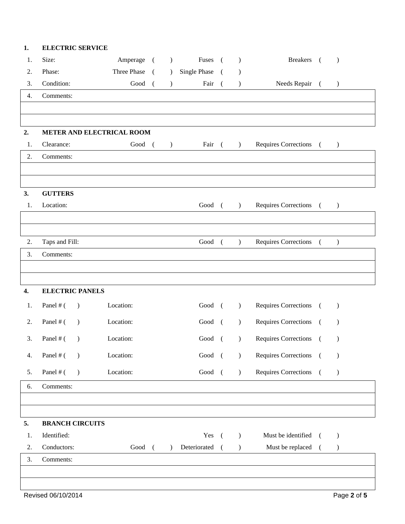| 1. | <b>ELECTRIC SERVICE</b>    |             |                |                  |                |            |                                               |                         |            |               |  |
|----|----------------------------|-------------|----------------|------------------|----------------|------------|-----------------------------------------------|-------------------------|------------|---------------|--|
| 1. | Size:                      | Amperage    | $\overline{a}$ | $\left( \right)$ | Fuses          | $\sqrt{2}$ | $\mathcal{L}$                                 | <b>Breakers</b>         | $\sqrt{2}$ | $\mathcal{L}$ |  |
| 2. | Phase:                     | Three Phase | $\sqrt{ }$     | $\overline{)}$   | Single Phase   | - (        |                                               |                         |            |               |  |
| 3. | Condition:                 | Good        | $\overline{ }$ | $\mathcal{L}$    | Fair           | $\sqrt{ }$ | $\mathcal{L}$                                 | Needs Repair (          |            | $\mathcal{L}$ |  |
| 4. | Comments:                  |             |                |                  |                |            |                                               |                         |            |               |  |
|    |                            |             |                |                  |                |            |                                               |                         |            |               |  |
|    |                            |             |                |                  |                |            |                                               |                         |            |               |  |
| 2. | METER AND ELECTRICAL ROOM  |             |                |                  |                |            |                                               |                         |            |               |  |
| 1. | Clearance:                 | Good (      |                | $\rightarrow$    | Fair (         |            | $\left( \begin{array}{c} \end{array} \right)$ | Requires Corrections (  |            | $\lambda$     |  |
| 2. | Comments:                  |             |                |                  |                |            |                                               |                         |            |               |  |
|    |                            |             |                |                  |                |            |                                               |                         |            |               |  |
|    |                            |             |                |                  |                |            |                                               |                         |            |               |  |
| 3. | <b>GUTTERS</b>             |             |                |                  |                |            |                                               |                         |            |               |  |
| 1. | Location:                  |             |                |                  | Good (         |            | $\left( \right)$                              | Requires Corrections (  |            | $\mathcal{L}$ |  |
|    |                            |             |                |                  |                |            |                                               |                         |            |               |  |
|    |                            |             |                |                  |                |            |                                               |                         |            |               |  |
| 2. | Taps and Fill:             |             |                |                  | Good (         |            | $\mathcal{L}$                                 | Requires Corrections (  |            | $\lambda$     |  |
| 3. | Comments:                  |             |                |                  |                |            |                                               |                         |            |               |  |
|    |                            |             |                |                  |                |            |                                               |                         |            |               |  |
|    |                            |             |                |                  |                |            |                                               |                         |            |               |  |
| 4. | <b>ELECTRIC PANELS</b>     |             |                |                  |                |            |                                               |                         |            |               |  |
| 1. | Panel # (<br>$\rightarrow$ | Location:   |                |                  | Good (         |            | $\lambda$                                     | Requires Corrections (  |            | $\mathcal{L}$ |  |
| 2. | Panel # (<br>$\lambda$     | Location:   |                |                  | Good (         |            | $\mathcal{L}$                                 | Requires Corrections (  |            | $\mathcal{L}$ |  |
| 3. | Panel # $($ $)$            | Location:   |                |                  | Good (         |            | $\rightarrow$                                 | Requires Corrections () |            |               |  |
|    |                            |             |                |                  |                |            |                                               |                         |            |               |  |
| 4. | Panel # (<br>$\rightarrow$ | Location:   |                |                  | Good (         |            | $\mathcal{L}$                                 | Requires Corrections (  |            | $\mathcal{E}$ |  |
| 5. | Panel # (<br>$\lambda$     | Location:   |                |                  | Good (         |            | $\mathcal{L}$                                 | Requires Corrections (  |            | $\mathcal{E}$ |  |
| 6. | Comments:                  |             |                |                  |                |            |                                               |                         |            |               |  |
|    |                            |             |                |                  |                |            |                                               |                         |            |               |  |
|    |                            |             |                |                  |                |            |                                               |                         |            |               |  |
| 5. | <b>BRANCH CIRCUITS</b>     |             |                |                  |                |            |                                               |                         |            |               |  |
| 1. | Identified:                |             |                |                  | Yes (          |            | $\lambda$                                     | Must be identified (    |            | $\mathcal{E}$ |  |
| 2. | Conductors:                | Good (      |                | $\lambda$        | Deteriorated ( |            | $\mathcal{L}$                                 | Must be replaced (      |            | $\mathcal{E}$ |  |
| 3. | Comments:                  |             |                |                  |                |            |                                               |                         |            |               |  |
|    |                            |             |                |                  |                |            |                                               |                         |            |               |  |
|    |                            |             |                |                  |                |            |                                               |                         |            |               |  |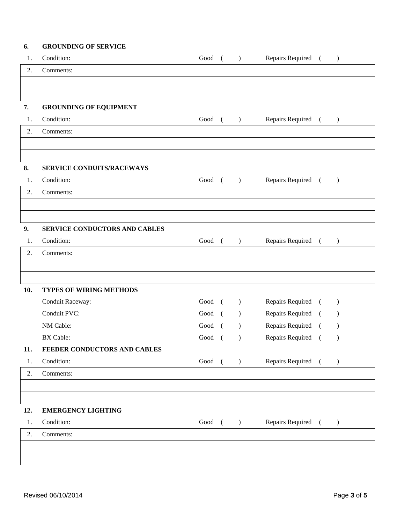### **6. GROUNDING OF SERVICE**

| 1.  | Condition:                     | Good      | $\lambda$        | Repairs Required ( |            | $\lambda$        |
|-----|--------------------------------|-----------|------------------|--------------------|------------|------------------|
| 2.  | Comments:                      |           |                  |                    |            |                  |
|     |                                |           |                  |                    |            |                  |
|     |                                |           |                  |                    |            |                  |
| 7.  | <b>GROUNDING OF EQUIPMENT</b>  |           |                  |                    |            |                  |
| 1.  | Condition:                     | Good (    | $\rightarrow$    | Repairs Required ( |            | $\lambda$        |
| 2.  | Comments:                      |           |                  |                    |            |                  |
|     |                                |           |                  |                    |            |                  |
|     |                                |           |                  |                    |            |                  |
| 8.  | SERVICE CONDUITS/RACEWAYS      |           |                  |                    |            |                  |
| 1.  | Condition:                     | Good (    | $\rightarrow$    | Repairs Required ( |            | $\left( \right)$ |
| 2.  | Comments:                      |           |                  |                    |            |                  |
|     |                                |           |                  |                    |            |                  |
|     |                                |           |                  |                    |            |                  |
| 9.  | SERVICE CONDUCTORS AND CABLES  |           |                  |                    |            |                  |
| 1.  | Condition:                     | Good (    | $\mathcal{L}$    | Repairs Required ( |            | $\lambda$        |
| 2.  | Comments:                      |           |                  |                    |            |                  |
|     |                                |           |                  |                    |            |                  |
|     |                                |           |                  |                    |            |                  |
| 10. | <b>TYPES OF WIRING METHODS</b> |           |                  |                    |            |                  |
|     | Conduit Raceway:               | Good      | $\lambda$        | Repairs Required   | $\sqrt{2}$ | $\lambda$        |
|     | Conduit PVC:                   | Good<br>€ | $\lambda$        | Repairs Required   | $\sqrt{2}$ | $\lambda$        |
|     | NM Cable:                      | Good      | $\lambda$        | Repairs Required   | $\sqrt{2}$ |                  |
|     | <b>BX</b> Cable:               | Good<br>( | $\lambda$        | Repairs Required   | $\sqrt{2}$ | $\lambda$        |
| 11. | FEEDER CONDUCTORS AND CABLES   |           |                  |                    |            |                  |
| 1.  | Condition:                     | Good (    | $\rightarrow$    | Repairs Required ( |            | $\mathcal{L}$    |
| 2.  | Comments:                      |           |                  |                    |            |                  |
|     |                                |           |                  |                    |            |                  |
|     |                                |           |                  |                    |            |                  |
| 12. | <b>EMERGENCY LIGHTING</b>      |           |                  |                    |            |                  |
| 1.  | Condition:                     | Good (    | $\left( \right)$ | Repairs Required ( |            | $\left( \right)$ |
| 2.  | Comments:                      |           |                  |                    |            |                  |
|     |                                |           |                  |                    |            |                  |
|     |                                |           |                  |                    |            |                  |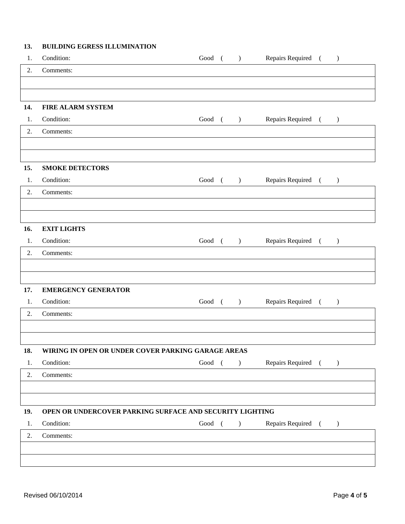#### **13. BUILDING EGRESS ILLUMINATION**

| 1.  | Condition:                                               | Good ( | $\overline{\phantom{a}}$ | Repairs Required (   | $\big)$       |
|-----|----------------------------------------------------------|--------|--------------------------|----------------------|---------------|
| 2.  | Comments:                                                |        |                          |                      |               |
|     |                                                          |        |                          |                      |               |
|     |                                                          |        |                          |                      |               |
| 14. | <b>FIRE ALARM SYSTEM</b>                                 |        |                          |                      |               |
| 1.  | Condition:                                               | Good ( | $\overline{\phantom{a}}$ | Repairs Required (   | $\big)$       |
| 2.  | Comments:                                                |        |                          |                      |               |
|     |                                                          |        |                          |                      |               |
|     |                                                          |        |                          |                      |               |
| 15. | <b>SMOKE DETECTORS</b>                                   |        |                          |                      |               |
| 1.  | Condition:                                               |        | $Good$ ( )               | Repairs Required ( ) |               |
| 2.  | Comments:                                                |        |                          |                      |               |
|     |                                                          |        |                          |                      |               |
| 16. | <b>EXIT LIGHTS</b>                                       |        |                          |                      |               |
| 1.  | Condition:                                               | Good ( | $\overline{\phantom{a}}$ | Repairs Required (   | $\lambda$     |
| 2.  | Comments:                                                |        |                          |                      |               |
|     |                                                          |        |                          |                      |               |
|     |                                                          |        |                          |                      |               |
| 17. | <b>EMERGENCY GENERATOR</b>                               |        |                          |                      |               |
| 1.  | Condition:                                               | Good ( | $\overline{\phantom{a}}$ | Repairs Required (   | $\mathcal{L}$ |
| 2.  | Comments:                                                |        |                          |                      |               |
|     |                                                          |        |                          |                      |               |
|     |                                                          |        |                          |                      |               |
| 18. | WIRING IN OPEN OR UNDER COVER PARKING GARAGE AREAS       |        |                          |                      |               |
| 1.  | Condition:                                               | Good ( | $\lambda$                | Repairs Required (   | $\rightarrow$ |
| 2.  | Comments:                                                |        |                          |                      |               |
|     |                                                          |        |                          |                      |               |
| 19. | OPEN OR UNDERCOVER PARKING SURFACE AND SECURITY LIGHTING |        |                          |                      |               |
| 1.  | Condition:                                               | Good ( | $\lambda$                | Repairs Required (   | $\lambda$     |
| 2.  | Comments:                                                |        |                          |                      |               |
|     |                                                          |        |                          |                      |               |
|     |                                                          |        |                          |                      |               |